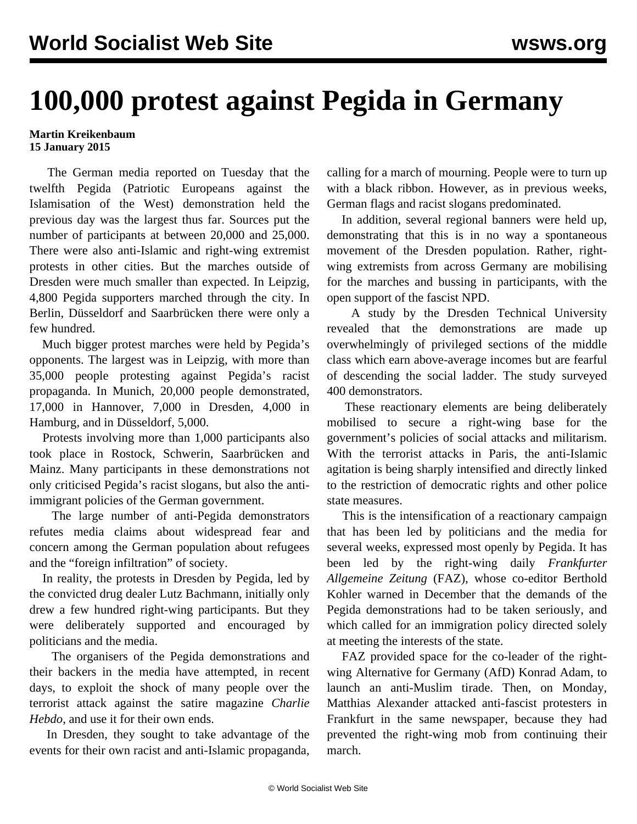## **100,000 protest against Pegida in Germany**

## **Martin Kreikenbaum 15 January 2015**

 The German media reported on Tuesday that the twelfth Pegida (Patriotic Europeans against the Islamisation of the West) demonstration held the previous day was the largest thus far. Sources put the number of participants at between 20,000 and 25,000. There were also anti-Islamic and right-wing extremist protests in other cities. But the marches outside of Dresden were much smaller than expected. In Leipzig, 4,800 Pegida supporters marched through the city. In Berlin, Düsseldorf and Saarbrücken there were only a few hundred.

 Much bigger protest marches were held by Pegida's opponents. The largest was in Leipzig, with more than 35,000 people protesting against Pegida's racist propaganda. In Munich, 20,000 people demonstrated, 17,000 in Hannover, 7,000 in Dresden, 4,000 in Hamburg, and in Düsseldorf, 5,000.

 Protests involving more than 1,000 participants also took place in Rostock, Schwerin, Saarbrücken and Mainz. Many participants in these demonstrations not only criticised Pegida's racist slogans, but also the antiimmigrant policies of the German government.

 The large number of anti-Pegida demonstrators refutes media claims about widespread fear and concern among the German population about refugees and the "foreign infiltration" of society.

 In reality, the protests in Dresden by Pegida, led by the convicted drug dealer Lutz Bachmann, initially only drew a few hundred right-wing participants. But they were deliberately supported and encouraged by politicians and the media.

 The organisers of the Pegida demonstrations and their backers in the media have attempted, in recent days, to exploit the shock of many people over the terrorist attack against the satire magazine *Charlie Hebdo*, and use it for their own ends.

 In Dresden, they sought to take advantage of the events for their own racist and anti-Islamic propaganda,

calling for a march of mourning. People were to turn up with a black ribbon. However, as in previous weeks, German flags and racist slogans predominated.

 In addition, several regional banners were held up, demonstrating that this is in no way a spontaneous movement of the Dresden population. Rather, rightwing extremists from across Germany are mobilising for the marches and bussing in participants, with the open support of the fascist NPD.

 A study by the Dresden Technical University revealed that the demonstrations are made up overwhelmingly of privileged sections of the middle class which earn above-average incomes but are fearful of descending the social ladder. The study surveyed 400 demonstrators.

 These reactionary elements are being deliberately mobilised to secure a right-wing base for the government's policies of social attacks and militarism. With the terrorist attacks in Paris, the anti-Islamic agitation is being sharply intensified and directly linked to the restriction of democratic rights and other police state measures.

 This is the intensification of a reactionary campaign that has been led by politicians and the media for several weeks, expressed most openly by Pegida. It has been led by the right-wing daily *Frankfurter Allgemeine Zeitung* (FAZ), whose co-editor Berthold Kohler warned in December that the demands of the Pegida demonstrations had to be taken seriously, and which called for an immigration policy directed solely at meeting the interests of the state.

 FAZ provided space for the co-leader of the rightwing Alternative for Germany (AfD) Konrad Adam, to launch an anti-Muslim tirade. Then, on Monday, Matthias Alexander attacked anti-fascist protesters in Frankfurt in the same newspaper, because they had prevented the right-wing mob from continuing their march.